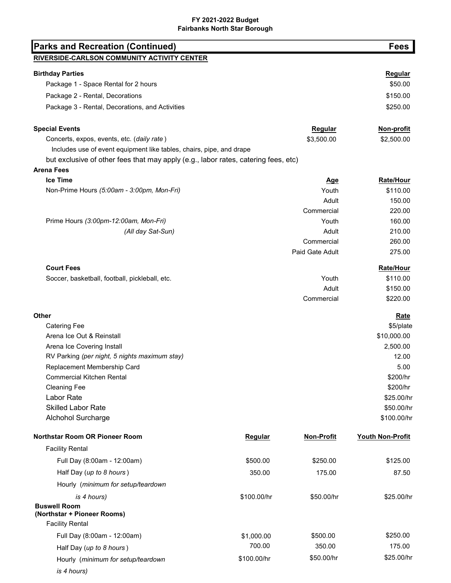## FY 2021-2022 Budget Fairbanks North Star Borough

| <b>Parks and Recreation (Continued)</b>                                            |                |                   | <b>Fees</b>      |
|------------------------------------------------------------------------------------|----------------|-------------------|------------------|
| RIVERSIDE-CARLSON COMMUNITY ACTIVITY CENTER                                        |                |                   |                  |
| <b>Birthday Parties</b>                                                            |                |                   | Regular          |
| Package 1 - Space Rental for 2 hours                                               |                |                   | \$50.00          |
| Package 2 - Rental, Decorations                                                    |                |                   | \$150.00         |
| Package 3 - Rental, Decorations, and Activities                                    |                |                   | \$250.00         |
|                                                                                    |                |                   |                  |
| <b>Special Events</b>                                                              |                | Regular           | Non-profit       |
| Concerts, expos, events, etc. (daily rate)                                         |                | \$3,500.00        | \$2,500.00       |
| Includes use of event equipment like tables, chairs, pipe, and drape               |                |                   |                  |
| but exclusive of other fees that may apply (e.g., labor rates, catering fees, etc) |                |                   |                  |
| <b>Arena Fees</b>                                                                  |                |                   |                  |
| <b>Ice Time</b>                                                                    |                | <u>Age</u>        | Rate/Hour        |
| Non-Prime Hours (5:00am - 3:00pm, Mon-Fri)                                         |                | Youth             | \$110.00         |
|                                                                                    |                | Adult             | 150.00           |
|                                                                                    |                | Commercial        | 220.00           |
| Prime Hours (3:00pm-12:00am, Mon-Fri)                                              |                | Youth             | 160.00           |
| (All day Sat-Sun)                                                                  |                | Adult             | 210.00           |
|                                                                                    |                | Commercial        | 260.00           |
|                                                                                    |                | Paid Gate Adult   | 275.00           |
| <b>Court Fees</b>                                                                  |                |                   | Rate/Hour        |
| Soccer, basketball, football, pickleball, etc.                                     |                | Youth             | \$110.00         |
|                                                                                    |                | Adult             | \$150.00         |
|                                                                                    |                | Commercial        | \$220.00         |
| Other                                                                              |                |                   | <b>Rate</b>      |
| <b>Catering Fee</b>                                                                |                |                   | \$5/plate        |
| Arena Ice Out & Reinstall                                                          |                |                   | \$10,000.00      |
| Arena Ice Covering Install                                                         |                |                   | 2,500.00         |
| RV Parking (per night, 5 nights maximum stay)                                      |                |                   | 12.00            |
| Replacement Membership Card                                                        |                |                   | 5.00             |
| <b>Commercial Kitchen Rental</b>                                                   |                |                   | \$200/hr         |
| <b>Cleaning Fee</b>                                                                |                |                   | \$200/hr         |
| Labor Rate                                                                         |                |                   | \$25.00/hr       |
| <b>Skilled Labor Rate</b>                                                          |                |                   | \$50.00/hr       |
| Alchohol Surcharge                                                                 |                |                   | \$100.00/hr      |
| Northstar Room OR Pioneer Room                                                     | <b>Regular</b> | <b>Non-Profit</b> | Youth Non-Profit |
| <b>Facility Rental</b>                                                             |                |                   |                  |
| Full Day (8:00am - 12:00am)                                                        | \$500.00       | \$250.00          | \$125.00         |
| Half Day (up to 8 hours)                                                           | 350.00         | 175.00            | 87.50            |
| Hourly (minimum for setup/teardown                                                 |                |                   |                  |
| is 4 hours)                                                                        | \$100.00/hr    | \$50.00/hr        | \$25.00/hr       |
| <b>Buswell Room</b>                                                                |                |                   |                  |
| (Northstar + Pioneer Rooms)                                                        |                |                   |                  |
| <b>Facility Rental</b>                                                             |                |                   |                  |
| Full Day (8:00am - 12:00am)                                                        | \$1,000.00     | \$500.00          | \$250.00         |
| Half Day (up to 8 hours)                                                           | 700.00         | 350.00            | 175.00           |
| Hourly (minimum for setup/teardown                                                 | \$100.00/hr    | \$50.00/hr        | \$25.00/hr       |
| is 4 hours)                                                                        |                |                   |                  |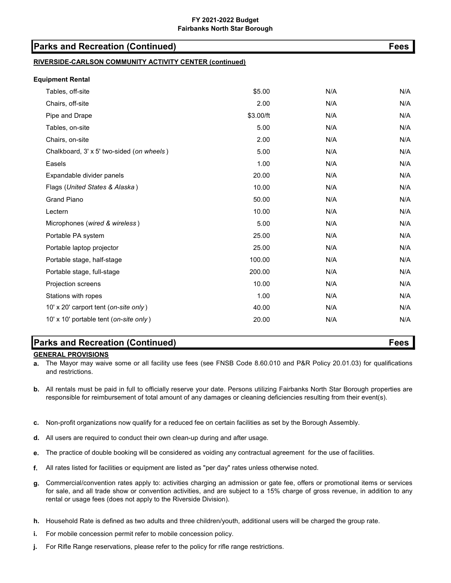## FY 2021-2022 Budget Fairbanks North Star Borough

| <b>Parks and Recreation (Continued)</b>                 |           |     |     |  |
|---------------------------------------------------------|-----------|-----|-----|--|
| RIVERSIDE-CARLSON COMMUNITY ACTIVITY CENTER (continued) |           |     |     |  |
| <b>Equipment Rental</b>                                 |           |     |     |  |
| Tables, off-site                                        | \$5.00    | N/A | N/A |  |
| Chairs, off-site                                        | 2.00      | N/A | N/A |  |
| Pipe and Drape                                          | \$3.00/ft | N/A | N/A |  |
| Tables, on-site                                         | 5.00      | N/A | N/A |  |
| Chairs, on-site                                         | 2.00      | N/A | N/A |  |
| Chalkboard, 3' x 5' two-sided (on wheels)               | 5.00      | N/A | N/A |  |
| Easels                                                  | 1.00      | N/A | N/A |  |
| Expandable divider panels                               | 20.00     | N/A | N/A |  |
| Flags (United States & Alaska)                          | 10.00     | N/A | N/A |  |
| <b>Grand Piano</b>                                      | 50.00     | N/A | N/A |  |
| Lectern                                                 | 10.00     | N/A | N/A |  |
| Microphones (wired & wireless)                          | 5.00      | N/A | N/A |  |
| Portable PA system                                      | 25.00     | N/A | N/A |  |
| Portable laptop projector                               | 25.00     | N/A | N/A |  |
| Portable stage, half-stage                              | 100.00    | N/A | N/A |  |
| Portable stage, full-stage                              | 200.00    | N/A | N/A |  |
| Projection screens                                      | 10.00     | N/A | N/A |  |
| Stations with ropes                                     | 1.00      | N/A | N/A |  |
| 10' x 20' carport tent (on-site only)                   | 40.00     | N/A | N/A |  |
| 10' x 10' portable tent (on-site only)                  | 20.00     | N/A | N/A |  |

# Parks and Recreation (Continued) Fees

## GENERAL PROVISIONS

a. The Mayor may waive some or all facility use fees (see FNSB Code 8.60.010 and P&R Policy 20.01.03) for qualifications and restrictions.

- b. All rentals must be paid in full to officially reserve your date. Persons utilizing Fairbanks North Star Borough properties are responsible for reimbursement of total amount of any damages or cleaning deficiencies resulting from their event(s).
- c. Non-profit organizations now qualify for a reduced fee on certain facilities as set by the Borough Assembly.
- d. All users are required to conduct their own clean-up during and after usage.
- e. The practice of double booking will be considered as voiding any contractual agreement for the use of facilities.
- f. All rates listed for facilities or equipment are listed as "per day" rates unless otherwise noted.
- g. Commercial/convention rates apply to: activities charging an admission or gate fee, offers or promotional items or services for sale, and all trade show or convention activities, and are subject to a 15% charge of gross revenue, in addition to any rental or usage fees (does not apply to the Riverside Division).
- h. Household Rate is defined as two adults and three children/youth, additional users will be charged the group rate.
- i. For mobile concession permit refer to mobile concession policy.
- j. For Rifle Range reservations, please refer to the policy for rifle range restrictions.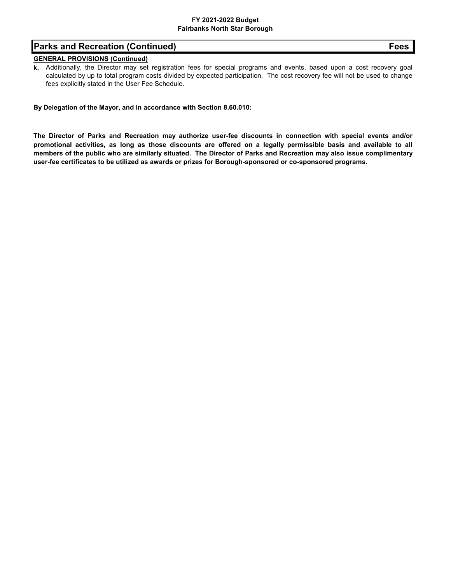## FY 2021-2022 Budget Fairbanks North Star Borough

# Parks and Recreation (Continued) Fees

## GENERAL PROVISIONS (Continued)

k. Additionally, the Director may set registration fees for special programs and events, based upon a cost recovery goal calculated by up to total program costs divided by expected participation. The cost recovery fee will not be used to change fees explicitly stated in the User Fee Schedule.

By Delegation of the Mayor, and in accordance with Section 8.60.010:

The Director of Parks and Recreation may authorize user-fee discounts in connection with special events and/or promotional activities, as long as those discounts are offered on a legally permissible basis and available to all members of the public who are similarly situated. The Director of Parks and Recreation may also issue complimentary user-fee certificates to be utilized as awards or prizes for Borough-sponsored or co-sponsored programs.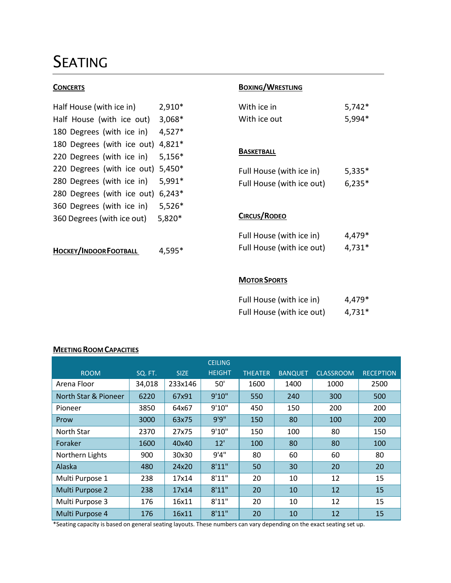# SEATING

| Half House (with ice in)             | 2,910*   |  |  |  |  |
|--------------------------------------|----------|--|--|--|--|
| 3,068*<br>Half House (with ice out)  |          |  |  |  |  |
| 180 Degrees (with ice in)            | 4,527*   |  |  |  |  |
| 180 Degrees (with ice out)           | 4,821*   |  |  |  |  |
| 220 Degrees (with ice in)            | 5,156*   |  |  |  |  |
| 220 Degrees (with ice out)           | $5,450*$ |  |  |  |  |
| 280 Degrees (with ice in)            | 5,991*   |  |  |  |  |
| 280 Degrees (with ice out)           | $6,243*$ |  |  |  |  |
| 360 Degrees (with ice in)            | 5,526*   |  |  |  |  |
| 360 Degrees (with ice out)<br>5,820* |          |  |  |  |  |
|                                      |          |  |  |  |  |

**HOCKEY/INDOORFOOTBALL** 4,595\*

# **CONCERTS BOXING**

| With ice in  | $5,742*$ |
|--------------|----------|
| With ice out | 5,994*   |

## **BASKETBALL**

| Full House (with ice in)  | $5,335*$ |
|---------------------------|----------|
| Full House (with ice out) | $6,235*$ |

# **CIRCUS/RODEO**

| Full House (with ice in)  | 4,479*   |
|---------------------------|----------|
| Full House (with ice out) | $4,731*$ |

## **MOTOR SPORTS**

| Full House (with ice in)  | 4,479*   |
|---------------------------|----------|
| Full House (with ice out) | $4,731*$ |

# **MEETING ROOM CAPACITIES**

|                      |         |             | <b>CEILING</b> |                |                |                  |                  |
|----------------------|---------|-------------|----------------|----------------|----------------|------------------|------------------|
| <b>ROOM</b>          | SQ. FT. | <b>SIZE</b> | <b>HEIGHT</b>  | <b>THEATER</b> | <b>BANQUET</b> | <b>CLASSROOM</b> | <b>RECEPTION</b> |
| Arena Floor          | 34,018  | 233x146     | 50'            | 1600           | 1400           | 1000             | 2500             |
| North Star & Pioneer | 6220    | 67x91       | 9'10"          | 550            | 240            | 300              | 500              |
| Pioneer              | 3850    | 64x67       | 9'10"          | 450            | 150            | 200              | 200              |
| Prow                 | 3000    | 63x75       | 9'9''          | 150            | 80             | 100              | 200              |
| North Star           | 2370    | 27x75       | 9'10"          | 150            | 100            | 80               | 150              |
| Foraker              | 1600    | 40x40       | 12'            | 100            | 80             | 80               | 100              |
| Northern Lights      | 900     | 30x30       | 9'4''          | 80             | 60             | 60               | 80               |
| Alaska               | 480     | 24x20       | 8'11"          | 50             | 30             | 20               | 20               |
| Multi Purpose 1      | 238     | 17x14       | 8'11"          | 20             | 10             | 12               | 15               |
| Multi Purpose 2      | 238     | 17x14       | 8'11"          | 20             | 10             | 12               | 15               |
| Multi Purpose 3      | 176     | 16x11       | 8'11"          | 20             | 10             | 12               | 15               |
| Multi Purpose 4      | 176     | 16x11       | 8'11"          | 20             | 10             | 12               | 15               |

\*Seating capacity is based on general seating layouts. These numbers can vary depending on the exact seating set up.